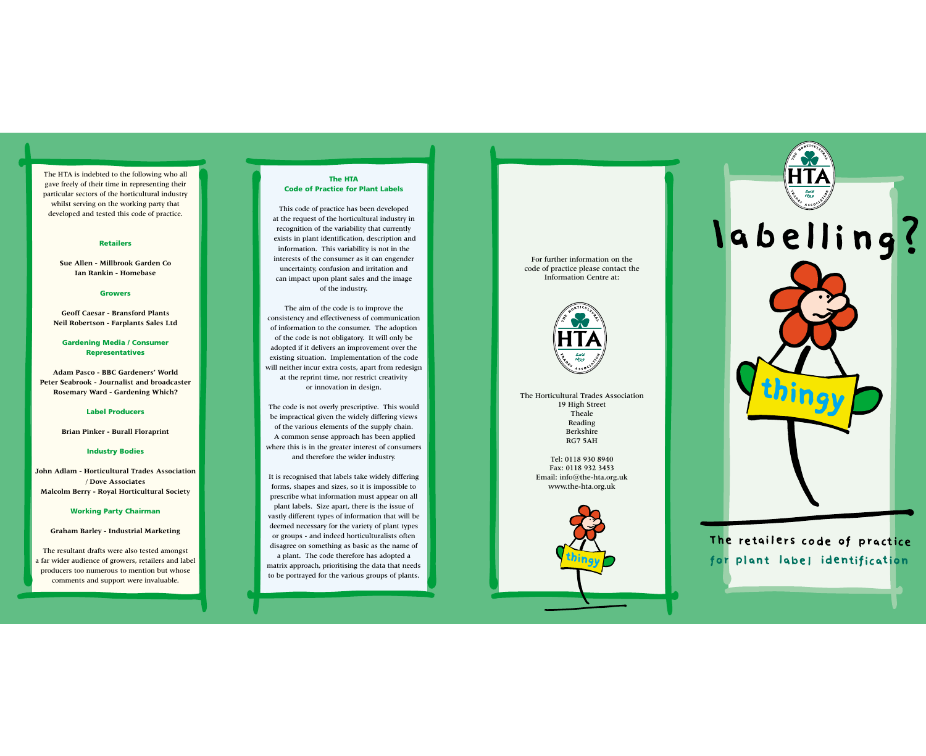The HTA is indebted to the following who all gave freely of their time in representing their particular sectors of the horticultural industry whilst serving on the working party that developed and tested this code of practice.

#### **Retailers**

**Sue Allen - Millbrook Garden Co Ian Rankin - Homebase**

### **Growers**

**Geoff Caesar - Bransford Plants Neil Robertson - Farplants Sales Ltd**

## **Gardening Media / Consumer Representatives**

**Adam Pasco - BBC Gardeners' World Peter Seabrook - Journalist and broadcaster Rosemary Ward - Gardening Which?**

#### **Label Producers**

**Brian Pinker - Burall Floraprint**

# **Industry Bodies**

**John Adlam - Horticultural Trades Association / Dove Associates Malcolm Berry - Royal Horticultural Society**

## **Working Party Chairman**

**Graham Barley - Industrial Marketing**

The resultant drafts were also tested amongst a far wider audience of growers, retailers and label producers too numerous to mention but whose comments and support were invaluable.

### **The HTA Code of Practice for Plant Labels**

This code of practice has been developed at the request of the horticultural industry in recognition of the variability that currently exists in plant identification, description and information. This variability is not in the interests of the consumer as it can engender uncertainty, confusion and irritation and can impact upon plant sales and the image of the industry.

The aim of the code is to improve the consistency and effectiveness of communication of information to the consumer. The adoption of the code is not obligatory. It will only be adopted if it delivers an improvement over the existing situation. Implementation of the code will neither incur extra costs, apart from redesign at the reprint time, nor restrict creativity or innovation in design.

The code is not overly prescriptive. This would be impractical given the widely differing views of the various elements of the supply chain. A common sense approach has been applied where this is in the greater interest of consumers and therefore the wider industry.

It is recognised that labels take widely differing forms, shapes and sizes, so it is impossible to prescribe what information must appear on all plant labels. Size apart, there is the issue of vastly different types of information that will be deemed necessary for the variety of plant types or groups - and indeed horticulturalists often disagree on something as basic as the name of

a plant. The code therefore has adopted a matrix approach, prioritising the data that needs to be portrayed for the various groups of plants.

For further information on the code of practice please contact the Information Centre at:



The Horticultural Trades Association 19 High Street Theale Reading Berkshire RG7 5AH

> Tel: 0118 930 8940 Fax: 0118 932 3453 Email: info@the-hta.org.uk www.the-hta.org.uk





The retailers code of practice for plant label identification